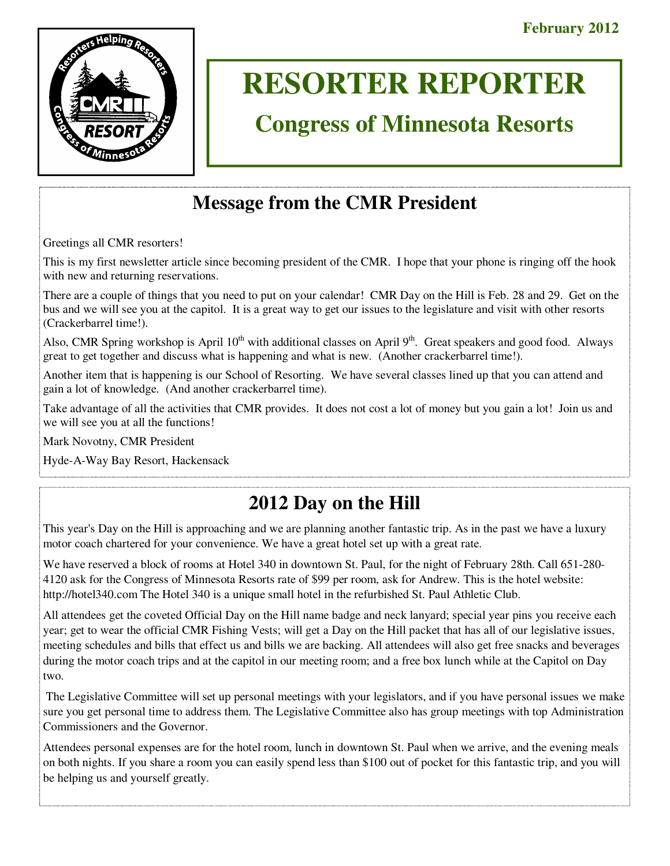

# **RESORTER REPORTER**

# **Congress of Minnesota Resorts**

# **Message from the CMR President**

Greetings all CMR resorters!

This is my first newsletter article since becoming president of the CMR. I hope that your phone is ringing off the hook with new and returning reservations.

There are a couple of things that you need to put on your calendar! CMR Day on the Hill is Feb. 28 and 29. Get on the bus and we will see you at the capitol. It is a great way to get our issues to the legislature and visit with other resorts (Crackerbarrel time!).

Also, CMR Spring workshop is April  $10^{th}$  with additional classes on April  $9^{th}$ . Great speakers and good food. Always great to get together and discuss what is happening and what is new. (Another crackerbarrel time!).

Another item that is happening is our School of Resorting. We have several classes lined up that you can attend and gain a lot of knowledge. (And another crackerbarrel time).

Take advantage of all the activities that CMR provides. It does not cost a lot of money but you gain a lot! Join us and we will see you at all the functions!

Mark Novotny, CMR President

Hyde-A-Way Bay Resort, Hackensack

## **2012 Day on the Hill**

This year's Day on the Hill is approaching and we are planning another fantastic trip. As in the past we have a luxury motor coach chartered for your convenience. We have a great hotel set up with a great rate.

We have reserved a block of rooms at Hotel 340 in downtown St. Paul, for the night of February 28th. Call 651-280- 4120 ask for the Congress of Minnesota Resorts rate of \$99 per room, ask for Andrew. This is the hotel website: http://hotel340.com The Hotel 340 is a unique small hotel in the refurbished St. Paul Athletic Club.

All attendees get the coveted Official Day on the Hill name badge and neck lanyard; special year pins you receive each year; get to wear the official CMR Fishing Vests; will get a Day on the Hill packet that has all of our legislative issues, meeting schedules and bills that effect us and bills we are backing. All attendees will also get free snacks and beverages during the motor coach trips and at the capitol in our meeting room; and a free box lunch while at the Capitol on Day two.

 The Legislative Committee will set up personal meetings with your legislators, and if you have personal issues we make sure you get personal time to address them. The Legislative Committee also has group meetings with top Administration Commissioners and the Governor.

Attendees personal expenses are for the hotel room, lunch in downtown St. Paul when we arrive, and the evening meals on both nights. If you share a room you can easily spend less than \$100 out of pocket for this fantastic trip, and you will be helping us and yourself greatly.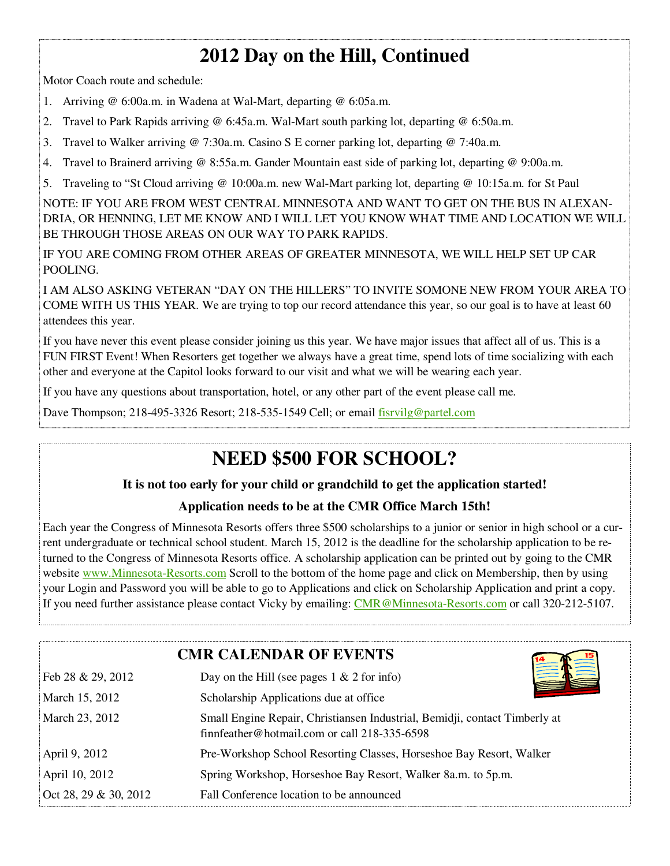# **2012 Day on the Hill, Continued**

Motor Coach route and schedule:

- 1. Arriving @ 6:00a.m. in Wadena at Wal-Mart, departing @ 6:05a.m.
- 2. Travel to Park Rapids arriving @ 6:45a.m. Wal-Mart south parking lot, departing @ 6:50a.m.
- 3. Travel to Walker arriving @ 7:30a.m. Casino S E corner parking lot, departing @ 7:40a.m.
- 4. Travel to Brainerd arriving @ 8:55a.m. Gander Mountain east side of parking lot, departing @ 9:00a.m.
- 5. Traveling to "St Cloud arriving @ 10:00a.m. new Wal-Mart parking lot, departing @ 10:15a.m. for St Paul

NOTE: IF YOU ARE FROM WEST CENTRAL MINNESOTA AND WANT TO GET ON THE BUS IN ALEXAN-DRIA, OR HENNING, LET ME KNOW AND I WILL LET YOU KNOW WHAT TIME AND LOCATION WE WILL BE THROUGH THOSE AREAS ON OUR WAY TO PARK RAPIDS.

IF YOU ARE COMING FROM OTHER AREAS OF GREATER MINNESOTA, WE WILL HELP SET UP CAR POOLING.

I AM ALSO ASKING VETERAN "DAY ON THE HILLERS" TO INVITE SOMONE NEW FROM YOUR AREA TO COME WITH US THIS YEAR. We are trying to top our record attendance this year, so our goal is to have at least 60 attendees this year.

If you have never this event please consider joining us this year. We have major issues that affect all of us. This is a FUN FIRST Event! When Resorters get together we always have a great time, spend lots of time socializing with each other and everyone at the Capitol looks forward to our visit and what we will be wearing each year.

If you have any questions about transportation, hotel, or any other part of the event please call me.

Dave Thompson; 218-495-3326 Resort; 218-535-1549 Cell; or email fisrvilg@partel.com

## **NEED \$500 FOR SCHOOL?**

### **It is not too early for your child or grandchild to get the application started!**

### **Application needs to be at the CMR Office March 15th!**

Each year the Congress of Minnesota Resorts offers three \$500 scholarships to a junior or senior in high school or a current undergraduate or technical school student. March 15, 2012 is the deadline for the scholarship application to be returned to the Congress of Minnesota Resorts office. A scholarship application can be printed out by going to the CMR website www.Minnesota-Resorts.com Scroll to the bottom of the home page and click on Membership, then by using your Login and Password you will be able to go to Applications and click on Scholarship Application and print a copy. If you need further assistance please contact Vicky by emailing: CMR@Minnesota-Resorts.com or call 320-212-5107.

|                       | <b>CMR CALENDAR OF EVENTS</b>                                                                                                |
|-----------------------|------------------------------------------------------------------------------------------------------------------------------|
| Feb 28 & 29, 2012     | Day on the Hill (see pages $1 \& 2$ for info)                                                                                |
| March 15, 2012        | Scholarship Applications due at office                                                                                       |
| March 23, 2012        | Small Engine Repair, Christiansen Industrial, Bemidji, contact Timberly at<br>finnfeather@hotmail.com or call $218-335-6598$ |
| April 9, 2012         | Pre-Workshop School Resorting Classes, Horseshoe Bay Resort, Walker                                                          |
| April 10, 2012        | Spring Workshop, Horseshoe Bay Resort, Walker 8a.m. to 5p.m.                                                                 |
| Oct 28, 29 & 30, 2012 | Fall Conference location to be announced                                                                                     |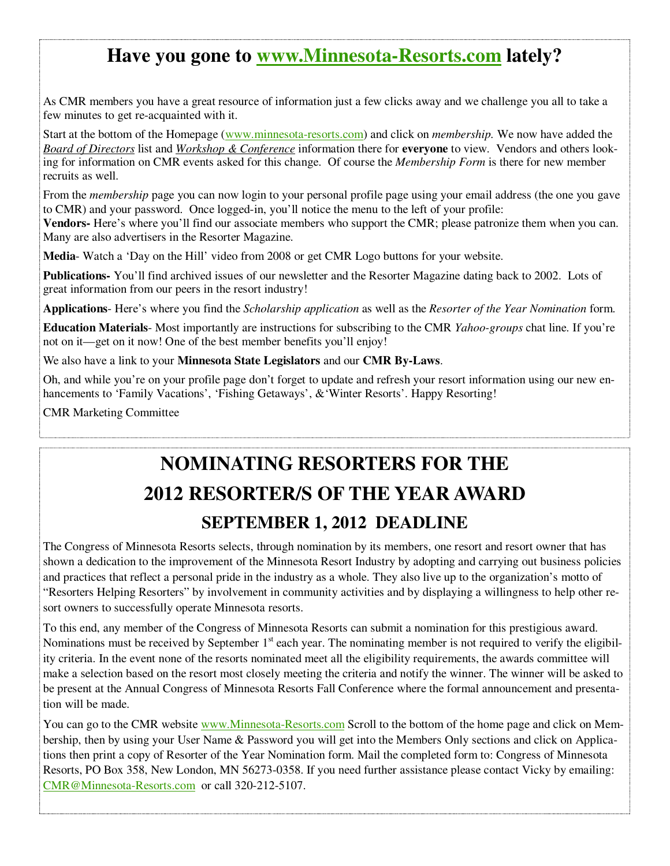### **Have you gone to www.Minnesota-Resorts.com lately?**

As CMR members you have a great resource of information just a few clicks away and we challenge you all to take a few minutes to get re-acquainted with it.

Start at the bottom of the Homepage (www.minnesota-resorts.com) and click on *membership.* We now have added the *Board of Directors* list and *Workshop & Conference* information there for **everyone** to view. Vendors and others looking for information on CMR events asked for this change. Of course the *Membership Form* is there for new member recruits as well.

From the *membership* page you can now login to your personal profile page using your email address (the one you gave to CMR) and your password. Once logged-in, you'll notice the menu to the left of your profile:

**Vendors-** Here's where you'll find our associate members who support the CMR; please patronize them when you can. Many are also advertisers in the Resorter Magazine.

**Media**- Watch a 'Day on the Hill' video from 2008 or get CMR Logo buttons for your website.

**Publications-** You'll find archived issues of our newsletter and the Resorter Magazine dating back to 2002. Lots of great information from our peers in the resort industry!

**Applications**- Here's where you find the *Scholarship application* as well as the *Resorter of the Year Nomination* form.

**Education Materials**- Most importantly are instructions for subscribing to the CMR *Yahoo-groups* chat line. If you're not on it—get on it now! One of the best member benefits you'll enjoy!

We also have a link to your **Minnesota State Legislators** and our **CMR By-Laws**.

Oh, and while you're on your profile page don't forget to update and refresh your resort information using our new enhancements to 'Family Vacations', 'Fishing Getaways', & 'Winter Resorts'. Happy Resorting!

CMR Marketing Committee

# **NOMINATING RESORTERS FOR THE 2012 RESORTER/S OF THE YEAR AWARD SEPTEMBER 1, 2012 DEADLINE**

The Congress of Minnesota Resorts selects, through nomination by its members, one resort and resort owner that has shown a dedication to the improvement of the Minnesota Resort Industry by adopting and carrying out business policies and practices that reflect a personal pride in the industry as a whole. They also live up to the organization's motto of "Resorters Helping Resorters" by involvement in community activities and by displaying a willingness to help other resort owners to successfully operate Minnesota resorts.

To this end, any member of the Congress of Minnesota Resorts can submit a nomination for this prestigious award. Nominations must be received by September  $1<sup>st</sup>$  each year. The nominating member is not required to verify the eligibility criteria. In the event none of the resorts nominated meet all the eligibility requirements, the awards committee will make a selection based on the resort most closely meeting the criteria and notify the winner. The winner will be asked to be present at the Annual Congress of Minnesota Resorts Fall Conference where the formal announcement and presentation will be made.

You can go to the CMR website www.Minnesota-Resorts.com Scroll to the bottom of the home page and click on Membership, then by using your User Name & Password you will get into the Members Only sections and click on Applications then print a copy of Resorter of the Year Nomination form. Mail the completed form to: Congress of Minnesota Resorts, PO Box 358, New London, MN 56273-0358. If you need further assistance please contact Vicky by emailing: CMR@Minnesota-Resorts.com or call 320-212-5107.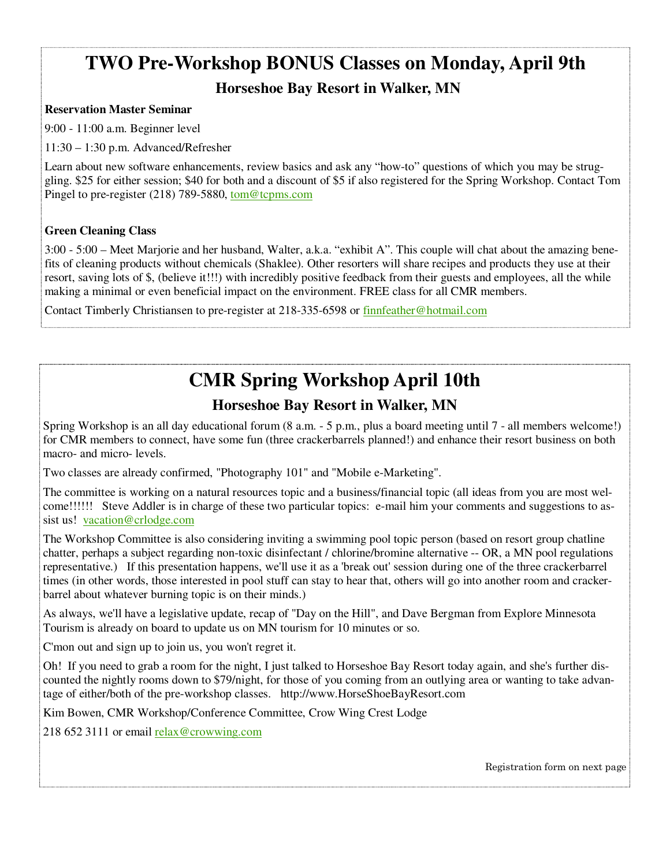# **TWO Pre-Workshop BONUS Classes on Monday, April 9th**

### **Horseshoe Bay Resort in Walker, MN**

### **Reservation Master Seminar**

9:00 - 11:00 a.m. Beginner level

11:30 – 1:30 p.m. Advanced/Refresher

Learn about new software enhancements, review basics and ask any "how-to" questions of which you may be struggling. \$25 for either session; \$40 for both and a discount of \$5 if also registered for the Spring Workshop. Contact Tom Pingel to pre-register (218) 789-5880, tom@tcpms.com

### **Green Cleaning Class**

3:00 - 5:00 – Meet Marjorie and her husband, Walter, a.k.a. "exhibit A". This couple will chat about the amazing benefits of cleaning products without chemicals (Shaklee). Other resorters will share recipes and products they use at their resort, saving lots of \$, (believe it!!!) with incredibly positive feedback from their guests and employees, all the while making a minimal or even beneficial impact on the environment. FREE class for all CMR members.

Contact Timberly Christiansen to pre-register at 218-335-6598 or finnfeather@hotmail.com

# **CMR Spring Workshop April 10th**

### **Horseshoe Bay Resort in Walker, MN**

Spring Workshop is an all day educational forum (8 a.m. - 5 p.m., plus a board meeting until 7 - all members welcome!) for CMR members to connect, have some fun (three crackerbarrels planned!) and enhance their resort business on both macro- and micro- levels.

Two classes are already confirmed, "Photography 101" and "Mobile e-Marketing".

The committee is working on a natural resources topic and a business/financial topic (all ideas from you are most welcome!!!!!! Steve Addler is in charge of these two particular topics: e-mail him your comments and suggestions to assist us! vacation@crlodge.com

The Workshop Committee is also considering inviting a swimming pool topic person (based on resort group chatline chatter, perhaps a subject regarding non-toxic disinfectant / chlorine/bromine alternative -- OR, a MN pool regulations representative.) If this presentation happens, we'll use it as a 'break out' session during one of the three crackerbarrel times (in other words, those interested in pool stuff can stay to hear that, others will go into another room and crackerbarrel about whatever burning topic is on their minds.)

As always, we'll have a legislative update, recap of "Day on the Hill", and Dave Bergman from Explore Minnesota Tourism is already on board to update us on MN tourism for 10 minutes or so.

C'mon out and sign up to join us, you won't regret it.

Oh! If you need to grab a room for the night, I just talked to Horseshoe Bay Resort today again, and she's further discounted the nightly rooms down to \$79/night, for those of you coming from an outlying area or wanting to take advantage of either/both of the pre-workshop classes. http://www.HorseShoeBayResort.com

Kim Bowen, CMR Workshop/Conference Committee, Crow Wing Crest Lodge

218 652 3111 or email relax@crowwing.com

Registration form on next page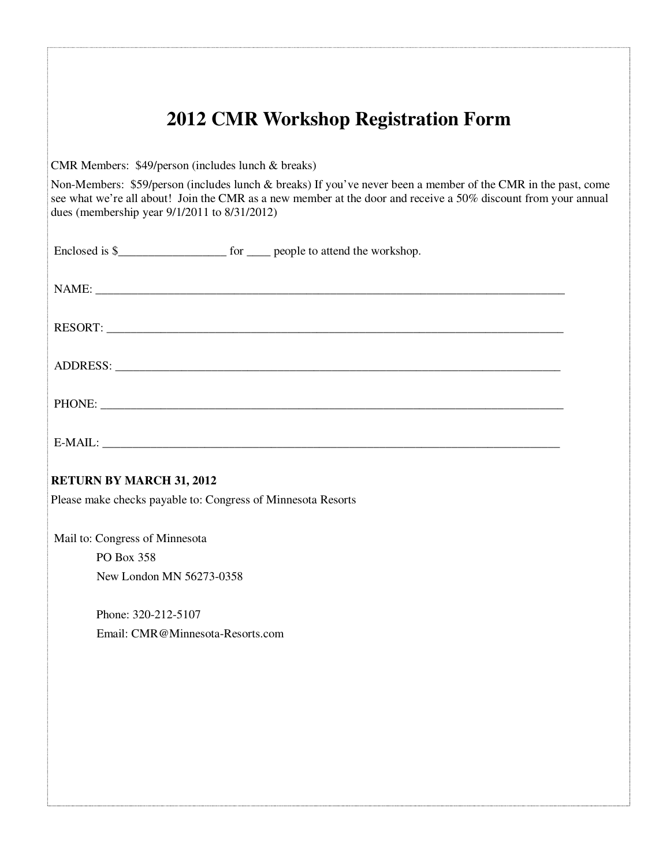| <b>2012 CMR Workshop Registration Form</b>                                                                                                                                                                                                                                      |
|---------------------------------------------------------------------------------------------------------------------------------------------------------------------------------------------------------------------------------------------------------------------------------|
| CMR Members: \$49/person (includes lunch & breaks)                                                                                                                                                                                                                              |
| Non-Members: \$59/person (includes lunch & breaks) If you've never been a member of the CMR in the past, come<br>see what we're all about! Join the CMR as a new member at the door and receive a 50% discount from your annual<br>dues (membership year 9/1/2011 to 8/31/2012) |
|                                                                                                                                                                                                                                                                                 |
|                                                                                                                                                                                                                                                                                 |
|                                                                                                                                                                                                                                                                                 |
|                                                                                                                                                                                                                                                                                 |
|                                                                                                                                                                                                                                                                                 |
|                                                                                                                                                                                                                                                                                 |
| <b>RETURN BY MARCH 31, 2012</b>                                                                                                                                                                                                                                                 |
| Please make checks payable to: Congress of Minnesota Resorts                                                                                                                                                                                                                    |
| Mail to: Congress of Minnesota<br>PO Box 358                                                                                                                                                                                                                                    |
| New London MN 56273-0358                                                                                                                                                                                                                                                        |
| Phone: 320-212-5107                                                                                                                                                                                                                                                             |
| Email: CMR@Minnesota-Resorts.com                                                                                                                                                                                                                                                |
|                                                                                                                                                                                                                                                                                 |
|                                                                                                                                                                                                                                                                                 |
|                                                                                                                                                                                                                                                                                 |
|                                                                                                                                                                                                                                                                                 |
|                                                                                                                                                                                                                                                                                 |